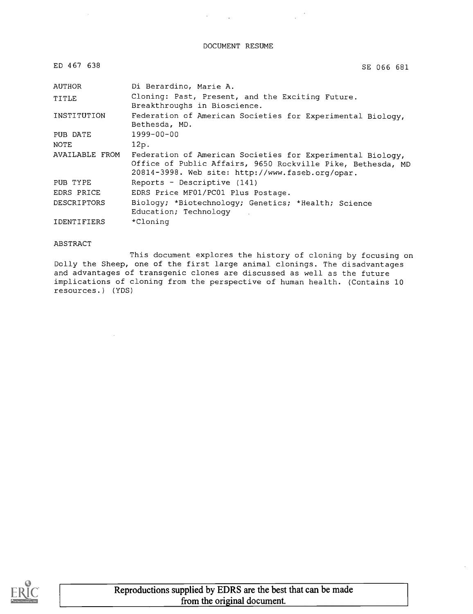DOCUMENT RESUME

 $\mathcal{L}$ 

ED 467 638 SE 066 681

 $\sim$ 

J.

| AUTHOR             | Di Berardino, Marie A.                                                                                                                                                        |
|--------------------|-------------------------------------------------------------------------------------------------------------------------------------------------------------------------------|
| TITLE              | Cloning: Past, Present, and the Exciting Future.<br>Breakthroughs in Bioscience.                                                                                              |
| INSTITUTION        | Federation of American Societies for Experimental Biology,<br>Bethesda, MD.                                                                                                   |
| PUB DATE           | 1999-00-00                                                                                                                                                                    |
| NOTE               | 12p.                                                                                                                                                                          |
| AVAILABLE FROM     | Federation of American Societies for Experimental Biology,<br>Office of Public Affairs, 9650 Rockville Pike, Bethesda, MD<br>20814-3998. Web site: http://www.faseb.org/opar. |
| PUB TYPE           | Reports - Descriptive $(141)$                                                                                                                                                 |
| EDRS PRICE         | EDRS Price MF01/PC01 Plus Postage.                                                                                                                                            |
| <b>DESCRIPTORS</b> | Biology; *Biotechnology; Genetics; *Health; Science<br>Education; Technology                                                                                                  |
| <b>IDENTIFIERS</b> | *Cloning                                                                                                                                                                      |

ABSTRACT

 $\sim$ 

This document explores the history of cloning by focusing on Dolly the Sheep, one of the first large animal clonings. The disadvantages and advantages of transgenic clones are discussed as well as the future implications of cloning from the perspective of human health. (Contains 10 resources.) (YDS)

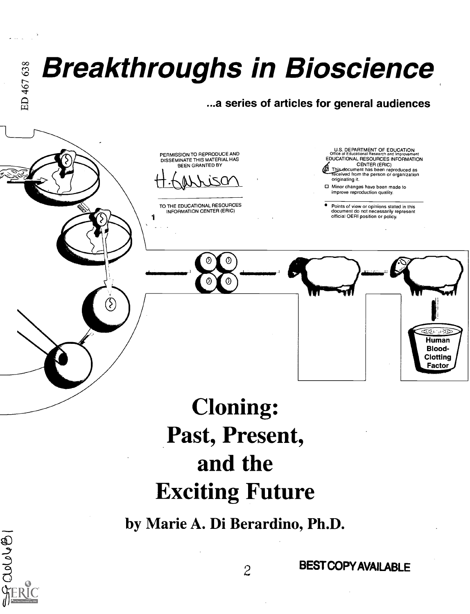# **Example 2011 Bioscience**<br> **Example 2011 Max Series of articles for general audiences**

...a series of articles for general audiences



**SUDDES** 



originating it.

Minor changes have been made to improve reproduction quality.

official OERI position or policy.

U.S. DEPARTMENT OF EDUCATION Office of Educational Research and Improvement EDUCATIONAL RESOURCES INFORMATION

CENTER (ERIC)<br>This-document has been reproduced as<br>feceived from the person or organization

Points of view or opinions stated in this document do not necessarily represent

# Cloning: Past, Present, and the Exciting Future

 $\circledcirc$ 

 $\circledcirc$ 

by Marie A. Di Berardino, Ph.D.

2 **BEST COPY AVAILABLE**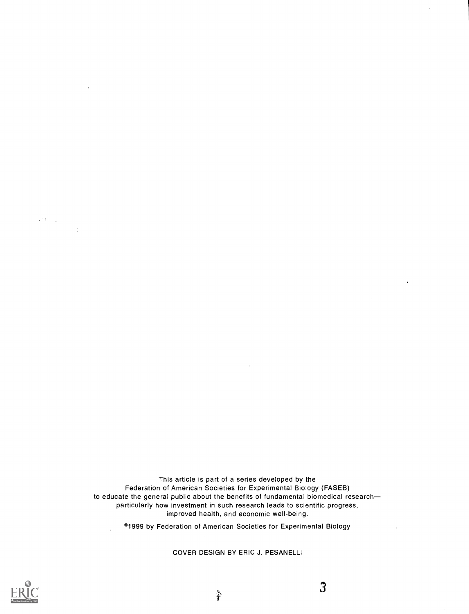This article is part of a series developed by the Federation of American Societies for Experimental Biology (FASEB) to educate the general public about the benefits of fundamental biomedical research particularly how investment in such research leads to scientific progress, improved health, and economic well-being.

©1999 by Federation of American Societies for Experimental Biology

COVER DESIGN BY ERIC J. PESANELLI

 $\ddot{r}$ 



 $\overline{a}$ 

 $\ddot{\phantom{a}}$ 

 $\label{eq:1} \mathcal{L}^{\text{c}}(\mathcal{L}^{\text{c}}(\mathcal{L}^{\text{c}}(\mathcal{L}^{\text{c}})))$ 

 $\sim$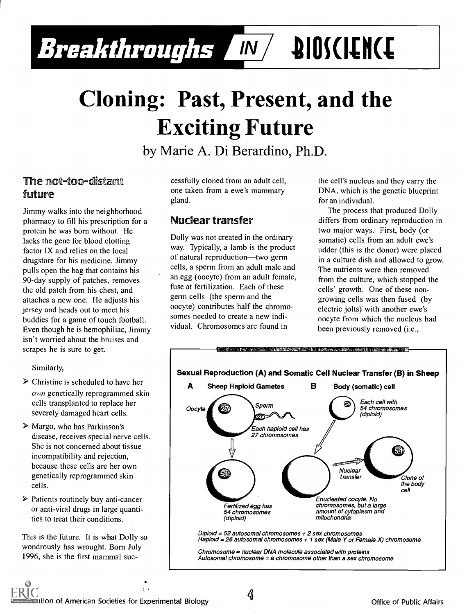# Breakthroughs NV BIOSCIENCE

# Cloning: Past, Present, and the Exciting Future

by Marie A. Di Berardino, Ph.D.

# The not-too-distant future

Jimmy walks into the neighborhood pharmacy to fill his prescription for a protein he was born without. He lacks the gene for blood clotting factor IX and relies on the local drugstore for his medicine. Jimmy pulls open the bag that contains his 90-day supply of patches, removes the old patch from his chest, and attaches a new one. He adjusts his jersey and heads out to meet his buddies for a game of touch football. Even though he is hemophiliac, Jimmy isn't worried about the bruises and scrapes he is sure to get.

#### Similarly,

- $\triangleright$  Christine is scheduled to have her own genetically reprogrammed skin cells transplanted to replace her severely damaged heart cells.
- > Margo, who has Parkinson's disease, receives special nerve cells. She is not concerned about tissue incompatibility and rejection, because these cells are her own genetically reprogrammed skin cells.
- $\triangleright$  Patients routinely buy anti-cancer or anti-viral drugs in large quantities to treat their conditions.

This is the future. It is what Dolly so wondrously has wrought. Born July 1996, she is the first mammal successfully cloned from an adult cell, one taken from a ewe's mammary gland.

# Nuclear transfer

Dolly was not created in the ordinary way. Typically, a lamb is the product of natural reproduction---two germ cells, a sperm from an adult male and an egg (oocyte) from an adult female, fuse at fertilization. Each of these germ cells (the sperm and the oocyte) contributes half the chromosomes needed to create a new individual. Chromosomes are found in

the cell's nucleus and they carry the DNA, which is the genetic blueprint for an individual.

The process that produced Dolly differs from ordinary reproduction in two major ways. First, body (or somatic) cells from an adult ewe's udder (this is the donor) were placed in a culture dish and allowed to grow. The nutrients were then removed from the culture, which stopped the cells' growth. One of these nongrowing cells was then fused (by electric jolts)' with another ewe's oocyte from which the nucleus had been previously removed (i.e.,

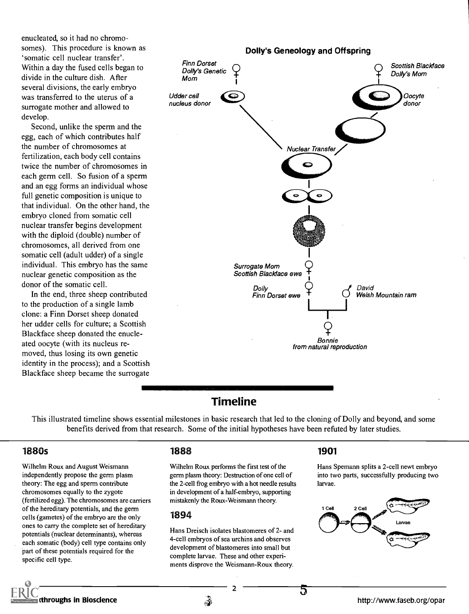enucleated, so it had no chromosomes). This procedure is known as `somatic cell nuclear transfer'. Within a day the fused cells began to divide in the culture dish. After several divisions, the early embryo was transferred to the uterus of a surrogate mother and allowed to develop.

Second, unlike the sperm and the egg, each of which contributes half the number of chromosomes at fertilization, each body cell contains twice the number of chromosomes in each germ cell. So fusion of a sperm and an egg forms an individual whose full genetic composition is unique to that individual. On the other hand, the embryo cloned from somatic cell nuclear transfer begins development with the diploid (double) number of chromosomes, all derived from one somatic cell (adult udder) of a single individual. This embryo has the same nuclear genetic composition as the donor of the somatic cell.

In the end, three sheep contributed to the production of a single lamb clone: a Finn Dorset sheep donated her udder cells for culture; a Scottish Blackface sheep donated the enucleated oocyte (with its nucleus removed, thus losing its own genetic identity in the process); and a Scottish Blackface sheep became the surrogate



# Timeline

This illustrated timeline shows essential milestones in basic research that led to the cloning of Dolly and beyond, and some benefits derived from that research. Some of the initial hypotheses have been refuted by later studies.

#### 1880s

Wilhelm Roux and August Weismann independently propose the germ plasm theory: The egg and sperm contribute chromosomes equally to the zygote (fertilized egg). The chromosomes are carriers of the hereditary potentials, and the germ cells (gametes) of the embryo are the only ones to carry the complete set of hereditary potentials (nuclear determinants), whereas each somatic (body) cell type contains only part of these potentials required for the specific cell type.

#### 1888

Wilhelm Roux performs the first test of the germ plasm theory: Destruction of one cell of the 2-cell frog embryo with a hot needle results in development of a half-embryo, supporting mistakenly the Roux-Weismann theory.

#### 1894

Hans Dreisch isolates blastomeres of 2- and 4-cell embryos of sea urchins and observes development of blastomeres into small but complete larvae. These and other experiments disprove the Weismann-Roux theory.

2

#### 1901

5

Hans Spemann splits a 2-cell newt embryo into two parts, successfully producing two larvae.



ત્રી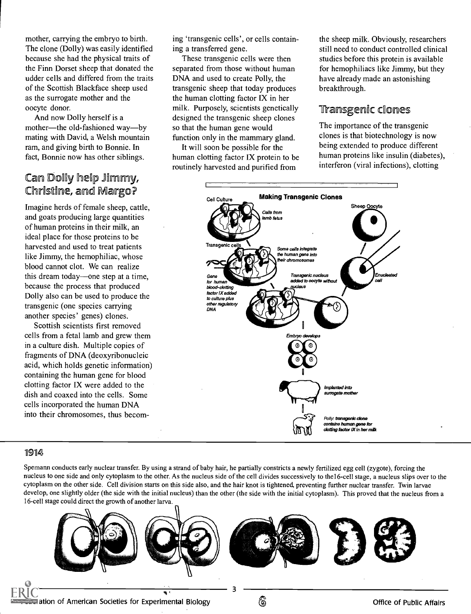mother, carrying the embryo to birth. The clone (Dolly) was easily identified because she had the physical traits of the Finn Dorset sheep that donated the udder cells and differed from the traits of the Scottish Blackface sheep used as the surrogate mother and the oocyte donor.

And now Dolly herself is a mother—the old-fashioned way—by mating with David, a Welsh mountain ram, and giving birth to Bonnie. In fact, Bonnie now has other siblings.

# Can Dolly help Jimmy, Christine, and Margo?

Imagine herds of female sheep, cattle, and goats producing large quantities of human proteins in their milk, an ideal place for those proteins to be harvested and used to treat patients like Jimmy, the hemophiliac, whose blood cannot clot. We can realize this dream today—one step at a time, because the process that produced Dolly also can be used to produce the transgenic (one species carrying another species' genes) clones.

Scottish scientists first removed cells from a fetal lamb and grew them in a culture dish. Multiple copies of fragments of DNA (deoxyribonucleic acid, which holds genetic information) containing the human gene for blood clotting factor IX were added to the dish and coaxed into the cells. Some cells incorporated the human DNA into their chromosomes, thus becoming 'transgenic cells', or cells containing a transferred gene.

These transgenic cells were then separated from those without human DNA and used to create Polly, the transgenic sheep that today produces the human clotting factor IX in her milk. Purposely, scientists genetically designed the transgenic sheep clones so that the human gene would function only in the mammary gland.

It will soon be possible for the human clotting factor IX protein to be routinely harvested and purified from

the sheep milk. Obviously, researchers still need to conduct controlled clinical studies before this protein is available for hemophiliacs like Jimmy, but they have already made an astonishing breakthrough.

# Transgenic clones

The importance of the transgenic clones is that biotechnology is now being extended to produce different human proteins like insulin (diabetes), interferon (viral infections), clotting



#### 19114

Spemann conducts early nuclear transfer. By using a strand of baby hair, he partially constricts a newly fertilized egg cell (zygote), forcing the nucleus to one side and only cytoplasm to the other. As the nucleus side of the cell divides successively to the16-cell stage, a nucleus slips over to the cytoplasm on the other side. Cell division starts on this side also, and the hair knot is tightened, preventing further nuclear transfer. Twin larvae develop, one slightly older (the side with the initial nucleus) than the other (the side with the initial cytoplasm). This proved that the nucleus from a 16-cell stage could direct the growth of another larva.

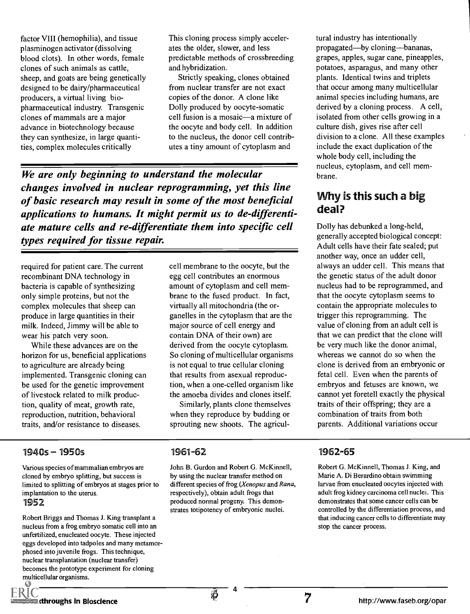factor VIII (hemophilia), and tissue plasminogen activator (dissolving blood clots). In other words, female clones of such animals as cattle, sheep, and goats are being genetically designed to be dairy/pharmaceutical producers, a virtual living biopharmaceutical industry. Transgenic clones of mammals are a major advance in biotechnology because they can synthesize, in large quantities, complex molecules critically

This cloning process simply accelerates the older, slower, and less predictable methods of crossbreeding and hybridization.

Strictly speaking, clones obtained from nuclear transfer are not exact copies of the donor. A clone like Dolly produced by oocyte-somatic cell fusion is a mosaic—a mixture of the oocyte and body cell. In addition to the nucleus, the donor cell contributes a tiny amount of cytoplasm and

We are only beginning to understand the molecular changes involved in nuclear reprogramming, yet this line of basic research may result in some of the most beneficial applications to humans. It might permit us to de-differentiate mature cells and re-differentiate them into specific cell types required for tissue repair.

required for patient care. The current recombinant DNA technology in bacteria is capable of synthesizing only simple proteins, but not the complex molecules that sheep can produce in large quantities in their milk. Indeed, Jimmy will be able to wear his patch very soon.

While these advances are on the horizon for us, beneficial applications to agriculture are already being implemented. Transgenic cloning can be used for the genetic improvement of livestock related to milk production, quality of meat, growth rate, reproduction, nutrition, behavioral traits, and/or resistance to diseases.

#### 1940s - 1950s

Various species of mammalian embryos are cloned by embryo splitting, but success is limited to splitting of embryos at stages prior to implantation to the uterus. 1952

Robert Briggs and Thomas J. King transplant a nucleus from a frog embryo somatic cell into an unfertilized, enucleated oocyte. These injected eggs developed into tadpoles and many metamorphosed into juvenile frogs. This technique, nuclear transplantation (nuclear transfer) becomes the prototype experiment for cloning multicellular organisms.

cell membrane to the oocyte, but the egg cell contributes an enormous amount of cytoplasm and cell membrane to the fused product. In fact, virtually all mitochondria (the organelles in the cytoplasm that are the major source of cell energy and contain DNA of their own) are derived from the oocyte cytoplasm. So cloning of multicellular organisms is not equal to true cellular cloning that results from asexual reproduction, when a one-celled organism like the amoeba divides and clones itself.

Similarly, plants clone themselves when they reproduce by budding or sprouting new shoots. The agricul-

#### 1961-62

John B. Gurdon and Robert G. McKinnell, by using the nuclear transfer method on different species of frog (Xenopus and Rana, respectively), obtain adult frogs that produced normal progeny. This demonstrates totipotency of embryonic nuclei.

۱Ó

tural industry has intentionally propagated—by cloning—bananas, grapes, apples, sugar cane, pineapples, potatoes, asparagus, and many other plants. Identical twins and triplets that occur among many multicellular animal species including humans, are derived by a cloning process. A cell, isolated from other cells growing in a culture dish, gives rise after cell division to a clone. All these examples include the exact duplication of the whole body cell, including the nucleus, cytoplasm, and cell membrane.

# Why is this such a big deal?

Dolly has debunked a long-held, generally accepted biological concept: Adult cells have their fate sealed; put another way, once an udder cell, always an udder cell. This means that the genetic status of the adult donor nucleus had to be reprogrammed, and that the oocyte cytoplasm seems to contain the appropriate molecules to trigger this reprogramming. The value of cloning from an adult cell is that we can predict that the clone will be very much like the donor animal, whereas we cannot do so when the clone is derived from an embryonic or fetal cell. Even when the parents of embryos and fetuses are known, we cannot yet foretell exactly the physical traits of their offspring; they are a combination of traits from both parents. Additional variations occur

#### 1962-65

Robert G. McKinnell, Thomas J. King, and Marie A. Di Berardino obtain swimming larvae from enucleated oocytes injected with adult frog kidney carcinoma cell nuclei. This demonstrates that some cancer cells can be controlled by the differentiation process, and that inducing cancer cells to differentiate may stop the cancer process.

4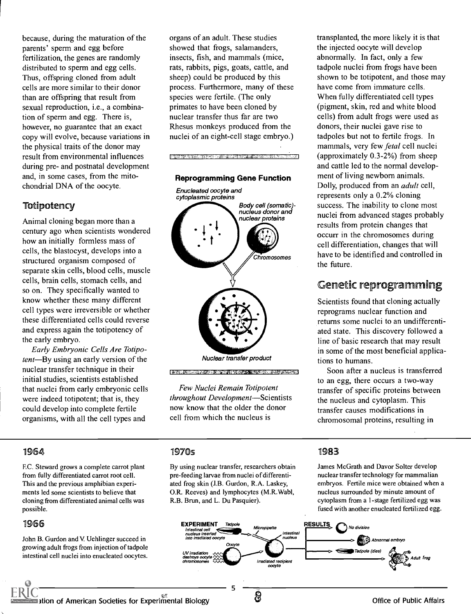because, during the maturation of the parents' sperm and egg before fertilization, the genes are randomly distributed to sperm and egg cells. Thus, offspring cloned from adult cells are more similar to their donor than are offspring that result from sexual reproduction, i.e., a combination of sperm and egg. There is, however, no guarantee that an exact copy will evolve, because variations in the physical traits of the donor may result from environmental influences during pre- and postnatal development and, in some cases, from the mitochondrial DNA of the oocyte.

#### Totipotency

Animal cloning began more than a century ago when scientists wondered how an initially formless mass of cells, the blastocyst, develops into a structured organism composed of separate skin cells, blood cells, muscle cells, brain cells, stomach cells, and so on. They specifically wanted to know whether these many different cell types were irreversible or whether these differentiated cells could reverse and express again the totipotency of the early embryo.

Early Embryonic Cells Are Totipotent-By using an early version of the nuclear transfer technique in their initial studies, scientists established that nuclei from early embryonic cells were indeed totipotent; that is, they could develop into complete fertile organisms, with all the cell types and

organs of an adult. These studies showed that frogs, salamanders, insects, fish, and mammals (mice, rats, rabbits, pigs, goats, cattle, and sheep) could be produced by this process. Furthermore, many of these species were fertile. (The only primates to have been cloned by nuclear transfer thus far are two Rhesus monkeys produced from the nuclei of an eight-cell stage embryo.)



#### Reprogramming Gene Function



Motor Motor and August Microsoft and August Microsoft Windows

Few Nuclei Remain Totipotent throughout Development-Scientists now know that the older the donor cell from which the nucleus is

1964

F.C. Steward grows a complete carrot plant from fully differentiated carrot root cell. This and the previous amphibian experiments led some scientists to believe that cloning from differentiated animal cells was possible.

#### 1986

John B. Gurdon and V. Uehlinger succeed in growing adult frogs from injection of tadpole intestinal cell nuclei into enucleated oocytes.

#### **1970s**

By using nuclear transfer, researchers obtain pre-feeding larvae from nuclei of differentiated frog skin (J.B. Gurdon, R.A. Laskey, O.R. Reeves) and lymphocytes (M.R.Wabl, R.B. Brun, and L. Du Pasquier).

5  $-$ 

transplanted, the more likely it is that the injected oocyte will develop abnormally. In fact, only a few tadpole nuclei from frogs have been shown to be totipotent, and those may have come from immature cells. When fully differentiated cell types (pigment, skin, red and white blood cells) from adult frogs were used as donors, their nuclei gave rise to tadpoles but not to fertile frogs. In mammals, very few fetal cell nuclei (approximately 0.3-2%) from sheep and cattle led to the normal development of living newborn animals. Dolly, produced from an adult cell, represents only a 0.2% cloning success. The inability to clone most nuclei from advanced stages probably results from protein changes that occurr in the chromosomes during cell differentiation, changes that will have to be identified and controlled in the future.

### Genetic reprogramming

Scientists found that cloning actually reprograms nuclear function and returns some nuclei to an undifferentiated state. This discovery followed a line of basic research that may result in some of the most beneficial applications to humans.

Soon after a nucleus is transferred to an egg, there occurs a two-way transfer of specific proteins between the nucleus and cytoplasm. This transfer causes modifications in chromosomal proteins, resulting in

#### 1983

James McGrath and Davor Solter develop nuclear transfer technology for mammalian embryos. Fertile mice were obtained when a nucleus surrounded by minute amount of cytoplasm from a 1-stage fertilized egg was fused with another enucleated fertilized egg.



Office of Public Affairs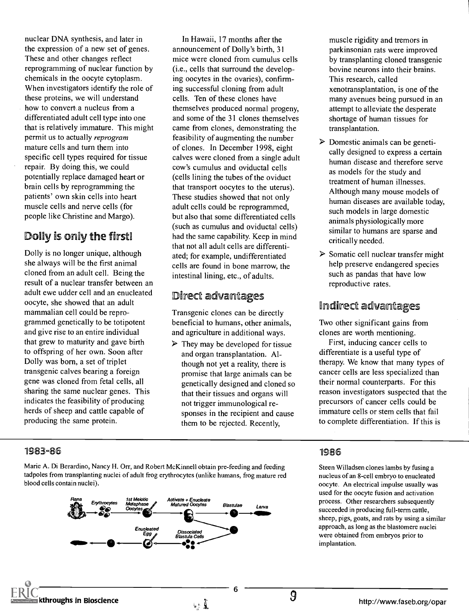nuclear DNA synthesis, and later in the expression of a new set of genes. These and other changes reflect reprogramming of nuclear function by chemicals in the oocyte cytoplasm. When investigators identify the role of these proteins, we will understand how to convert,a nucleus from a differentiated adult cell type into one that is relatively immature. This might permit us to actually reprogram mature cells and turn them into specific cell types required for tissue repair. By doing this, we could potentially replace damaged heart or brain cells by reprogramming the patients' own skin cells into heart muscle cells and nerve cells (for people like Christine and Margo).

# Dolly is only the first!

Dolly is no longer unique, although she always will be the first animal cloned from an adult cell. Being the result of a nuclear transfer between an adult ewe udder cell and an enucleated oocyte, she showed that an adult mammalian cell could be reprogrammed genetically to be totipotent and give rise to an entire individual that grew to maturity and gave birth to offspring of her own. Soon after Dolly was born, a set of triplet transgenic calves bearing a foreign gene was cloned from fetal cells, all sharing the same nuclear genes. This indicates the feasibility of producing herds of sheep and cattle capable of producing the same protein.

In Hawaii, 17 months after the announcement of Dolly's birth, 31 mice were cloned from cumulus cells (i.e., cells that surround the developing oocytes in the ovaries), confirming successful cloning from adult cells. Ten of these clones have themselves produced normal progeny, and some of the 31 clones themselves came from clones, demonstrating the feasibility of augmenting the number of clones. In December 1998, eight calves were cloned from a single adult cow's cumulus and oviductal cells (cells lining the tubes of the oviduct that transport oocytes to the uterus). These studies showed that not only adult cells could be reprogrammed, but also that some differentiated cells (such as cumulus and oviductal cells) had the same capability. Keep in mind that not all adult cells are differentiated; for example, undifferentiated cells are found in bone marrow, the intestinal lining, etc., of adults.

### Direct advantages

Transgenic clones can be directly beneficial to humans, other animals, and agriculture in additional ways.

 $\triangleright$  They may be developed for tissue and organ transplantation. Although not yet a reality, there is promise that large animals can be genetically designed and cloned so that their tissues and organs will not trigger immunological responses in the recipient and cause them to be rejected. Recently,

6

 $\mathbf{h} \in \mathbf{I}$ 

#### 1983-86

Marie A. Di Berardino, Nancy H. Orr, and Robert McKinnell obtain pre-feeding and feeding tadpoles from transplanting nuclei of adult frog erythrocytes (unlike humans, frog mature red blood cells contain nuclei).



muscle rigidity and tremors in parkinsonian rats were improved by transplanting cloned transgenic bovine neurons into their brains. This research, called xenotransplantation, is one of the many avenues being pursued in an attempt to alleviate the desperate shortage of human tissues for transplantation.

- $\triangleright$  Domestic animals can be genetically designed to express a certain human disease and therefore serve as models for the study and treatment of human illnesses. Although many mouse models of human diseases are available today, such models in large domestic animals physiologically more similar to humans are sparse and critically needed.
- $\triangleright$  Somatic cell nuclear transfer might help preserve endangered species such as pandas that have low reproductive rates.

#### [Indirect advantages

Two other significant gains from clones are worth mentioning.

First, inducing cancer cells to differentiate is a useful type of therapy. We know that many types of cancer cells are less specialized than their normal counterparts. For this reason investigators suspected that the precursors of cancer cells could be immature cells or stem cells that fail to complete differentiation. If this is

#### 19 6

Steen Willadsen clones lambs by fusing a nucleus of an 8-cell embryo to enucleated oocyte. An electrical impulse usually was used for the oocyte fusion and activation process. Other researchers subsequently succeeded in producing full-term cattle, sheep, pigs, goats, and rats by using a similar approach, as long as the blastomere nuclei were obtained from embryos prior to implantation.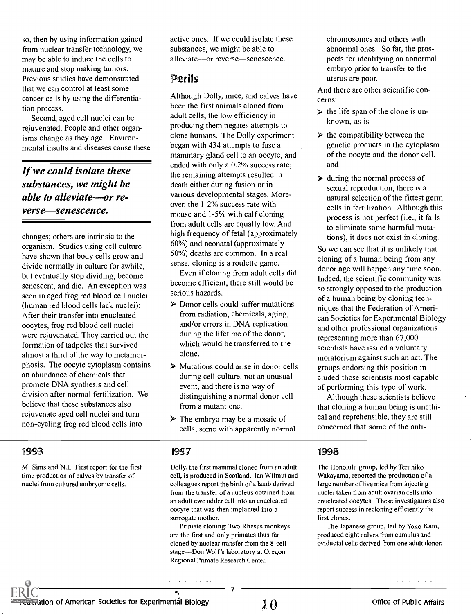so, then by using information gained from nuclear transfer technology, we may be able to induce the cells to mature and stop making tumors. Previous studies have demonstrated that we can control at least some cancer cells by using the differentiation process.

Second, aged cell nuclei can be rejuvenated. People and other organisms change as they age. Environmental insults and diseases cause these

If we could isolate these substances, we might be able to alleviate—or  $re$ verse-senescence.

changes; others are intrinsic to the organism. Studies using cell culture have shown that body cells grow and divide normally in culture for awhile, but eventually stop dividing, become senescent, and die. An exception was seen in aged frog red blood cell nuclei (human red blood cells lack nuclei): After their transfer into enucleated oocytes, frog red blood cell nuclei were rejuvenated. They carried out the formation of tadpoles that survived almost a third of the way to metamorphosis. The oocyte cytoplasm contains an abundance of chemicals that promote DNA synthesis and cell division after normal fertilization. We believe that these substances also rejuvenate aged cell nuclei and turn non-cycling frog red blood cells into

#### 1993

M. Sims and N.L. First report for the first time production of calves by transfer of nuclei from cultured embryonic cells.

active ones. If we could isolate these substances, we might be able to alleviate-or reverse-senescence.

#### Perlis

Although Dolly, mice, and calves have been the first animals cloned from adult cells, the low efficiency in producing them negates attempts to clone humans. The Dolly experiment began with 434 attempts to fuse a mammary gland cell to an oocyte, and ended with only a 0.2% success rate; the remaining attempts resulted in death either during fusion or in various developmental stages. Moreover, the 1-2% success rate with mouse and 1-5% with calf cloning from adult cells are equally low. And high frequency of fetal (approximately 60%) and neonatal (approximately 50%) deaths are common. In a real sense, cloning is a roulette game.

Even if cloning from adult cells did become efficient, there still would be serious hazards.

- $\triangleright$  Donor cells could suffer mutations from radiation, chemicals, aging, and/or errors in DNA replication during the lifetime of the donor, which would be transferred to the clone.
- > Mutations could arise in donor cells during cell culture, not an unusual event, and there is no way of distinguishing a normal donor cell from a mutant one.
- $\triangleright$  The embryo may be a mosaic of cells, some with apparently normal

#### 1997

 $\overline{\phantom{a}}$ 

Dolly, the first mammal cloned from an adult cell, is produced in Scotland. Ian Wilmut and colleagues report the birth of a lamb derived from the transfer of a nucleus obtained from an adult ewe udder cell into an enucleated oocyte that was then implanted into a surrogate mother.

Primate cloning: Two Rhesus monkeys are the first and only primates thus far cloned by nuclear transfer from the 8-cell stage-Don Wolf's laboratory at Oregon Regional Primate Research Center.

chromosomes and others with abnormal ones. So far, the prospects for identifying an abnormal embryo prior to transfer to the uterus are poor.

And there are other scientific concerns:

- $\triangleright$  the life span of the clone is unknown, as is
- $\triangleright$  the compatibility between the genetic products in the cytoplasm of the oocyte and the donor cell, and
- $\triangleright$  during the normal process of sexual reproduction, there is a natural selection of the fittest germ cells in fertilization. Although this process is not perfect (i.e., it fails to eliminate some harmful mutations), it does not exist in cloning.

So we can see that it is unlikely that cloning of a human being from any donor age will happen any time soon. Indeed, the scientific community was so strongly opposed to the production of a human being by cloning techniques that the Federation of American Societies for Experimental Biology and other professional organizations representing more than 67,000 scientists have issued a voluntary moratorium against such an act. The groups endorsing this position included those scientists most capable of performing this type of work.

Although these scientists believe that cloning a human being is unethical and reprehensible, they are still concerned that some of the anti-

#### 1998

The Honolulu group, led by Teruhiko Wakayama, reported the production of a large number of live mice from injecting nuclei taken from adult ovarian cells into enucleated oocytes. These investigators also report success in recloning efficiently the first clones.

The Japanese group, led by Yoko Kato, produced eight calves from cumulus and oviductal cells derived from one adult donor.

Federation of American Societies for Experimental Biology

7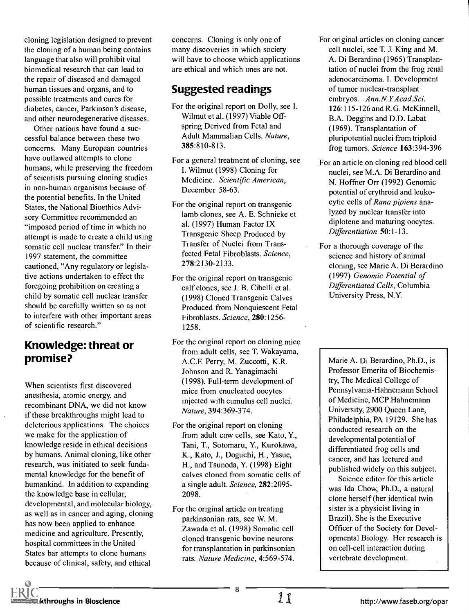cloning legislation designed to prevent the cloning of a human being contains language that also will prohibit vital biomedical research that can lead to the repair of diseased and damaged human tissues and organs, and to possible treatments and cures for diabetes, cancer, Parkinson's disease, and other neurodegenerative diseases.

Other nations have found a successful balance between these two concerns. Many European countries have outlawed attempts to clone humans, while preserving the freedom of scientists pursuing cloning studies in non-human organisms because of the potential benefits. In the United States, the National Bioethics Advisory Committee recommended an "imposed period of time in which no attempt is made to create a child using somatic cell nuclear transfer." In their 1997 statement, the committee cautioned, "Any regulatory or legislative actions undertaken to effect the foregoing prohibition on creating a child by somatic cell nuclear transfer should be carefully written so as not to interfere with other important areas of scientific research."

# Knowledge: threat or promise?

When scientists first discovered anesthesia, atomic energy, and recombinant DNA, we did not know if these breakthroughs might lead to deleterious applications. The choices we make for the application of knowledge reside in ethical decisions by humans. Animal cloning, like other research, was initiated to seek fundamental knowledge for the benefit of humankind. In addition to expanding the knowledge base in cellular, developmental, and molecular biology, as well as in cancer and aging, cloning has now been applied to enhance medicine and agriculture. Presently, hospital committees in the United States bar attempts to clone humans because of clinical, safety, and ethical

concerns. Cloning is only one of many discoveries in which society will have to choose which applications are ethical and which ones are not.

# Suggested readings

- For the original report on Dolly, see I. Wilmut et al. (1997) Viable Offspring Derived from Fetal and Adult Mammalian Cells. Nature, 385:810-813.
- For a general treatment of cloning, see I. Wilmut (1998) Cloning for Medicine. Scientific American, December 58-63.
- For the original report on transgenic lamb clones, see A. E. Schnieke et al. (1997) Human Factor IX Transgenic Sheep Produced by Transfer of Nuclei from Transfected Fetal Fibroblasts. Science, 278:2130-2133.
- For the original report on transgenic calf clones, see J. B. Cibelli et al. (1998) Cloned Transgenic Calves Produced from Nonquiescent Fetal Fibroblasts. Science, 280:1256- 1258.
- For the original report on cloning mice from adult cells, see T. Wakayama, A.C.F. Perry, M. Zuccotti, K.R. Johnson and R. Yanagimachi (1998). Full-term development of mice from enucleated oocytes injected with cumulus cell nuclei. Nature, 394:369-374.
- For the original report on cloning from adult cow cells, see Kato, Y., Tani, T., Sotomaru, Y., Kurokawa, K., Kato, J., Doguchi, H., Yasue, H., and Tsunoda, Y. (1998) Eight calves cloned from somatic cells of a single adult. Science, 282:2095- 2098.
- For the original article on treating parkinsonian rats, see W. M. Zawada et al. (1998) Somatic cell cloned transgenic bovine neurons for transplantation in parkinsonian rats. Nature Medicine, 4:569-574.

8

- For original articles on cloning cancer cell nuclei, see T. J. King and M. A. Di Berardino (1965) Transplantation of nuclei from the frog renal adenocarcinoma. I. Development of tumor nuclear-transplant embryos. Ann.N.Y.Acad.Sci. 126:115-126 and R.G. McKinnell, B.A. Deggins and D.D. Labat (1969). Transplantation of pluripotential nuclei from triploid frog tumors. Science 163:394-396
- For an article on cloning red blood cell nuclei, see M.A. Di Berardino and N. Hoffner Orr (1992) Genomic potential of erythroid and leukocytic cells of Rana pipiens analyzed by nuclear transfer into diplotene and maturing oocytes. Differentiation 50:1-13.
- For a thorough coverage of the science and history of animal cloning, see Marie A. Di Berardino (1997) Genomic Potential of Differentiated Cells, Columbia University Press, N.Y.

Marie A. Di Berardino, Ph.D., is Professor Emerita of Biochemistry, The Medical College of Pennsylvania-Hahnemann School of Medicine, MCP Hahnemann University, 2900 Queen Lane, Philadelphia, PA 19129. She has conducted research on the developmental potential of differentiated frog cells and cancer, and has lectured and published widely on this subject.

Science editor for this article was Ida Chow, Ph.D., a natural clone herself (her identical twin sister is a physicist living in Brazil). She is the Executive Officer of the Society for Developmental Biology. Her research is on cell-cell interaction during vertebrate development.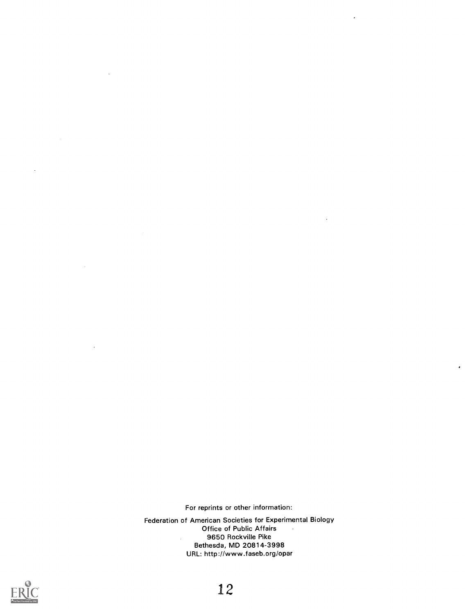For reprints or other information:

 $\overline{\phantom{a}}$ 

k.

Federation of American Societies for Experimental Biology Office of Public Affairs 9650 Rockville Pike Bethesda, MD 20814-3998 URL: http://www.faseb.org/opar



 $\bar{z}$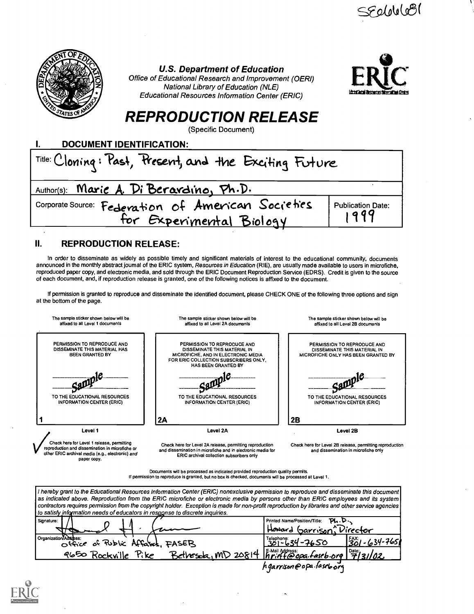SEaboloB<mark>(</mark><br>.



U.S. Department of Education

Office of Educational Research and Improvement (OERI) National Library of Education (NLE) Educational Resources Information Center (ERIC)



# REPRODUCTION RELEASE

(Specific Document)

| Title: Cloning: Past, Present, and the Exciting Future |                                  |
|--------------------------------------------------------|----------------------------------|
| <u>Author(s): Marie A. Di Beravdino, Ph.D.</u>         |                                  |
| Corporate Source: Federation of American Societies     | <b>Publication Date:</b><br>1999 |

#### II. REPRODUCTION RELEASE:

In order to disseminate as widely as possible timely and significant materials of interest to the educational community, documents announced in the monthly abstract journal of the ERIC system, Resources in Education (RIE), are usually made available to users in microfiche, reproduced paper copy, and electronic media, and sold through the ERIC Document Reproduction Service (EDRS). Credit is given to the source of each document, and, if reproduction release is granted, one of the following notices is affixed to the document.

If permission is granted to reproduce and disseminate the identified document, please CHECK ONE of the following three options and sign at the bottom of the page.



Documents will be processed as indicated provided reproduction quality permits. If permission to reproduce is granted, but no box is checked, documents will be processed at Level 1.

| I hereby grant to the Educational Resources Information Center (ERIC) nonexclusive permission to reproduce and disseminate this document  <br>as indicated above. Reproduction from the ERIC microfiche or electronic media by persons other than ERIC employees and its system<br>contractors requires permission from the copyright holder. Exception is made for non-profit reproduction by libraries and other service agencies<br>to satisfy information needs of educators in response to discrete inquiries. |                                                                    |                   |
|---------------------------------------------------------------------------------------------------------------------------------------------------------------------------------------------------------------------------------------------------------------------------------------------------------------------------------------------------------------------------------------------------------------------------------------------------------------------------------------------------------------------|--------------------------------------------------------------------|-------------------|
| Signature:                                                                                                                                                                                                                                                                                                                                                                                                                                                                                                          | Printed Name/Position/Title:<br>PL.D.<br>Howard Garrison, Director |                   |
| Organization Address:<br>othic of Public Affands, FASEB                                                                                                                                                                                                                                                                                                                                                                                                                                                             | $301 - 634 - 7650$                                                 | $301 - 634 - 765$ |
| Bethesda, MD 20814 hright@opa.faseb.org 7/31/02<br>9650 Rockville Pike                                                                                                                                                                                                                                                                                                                                                                                                                                              |                                                                    |                   |
|                                                                                                                                                                                                                                                                                                                                                                                                                                                                                                                     | hgarrison@opa.faseborg                                             |                   |